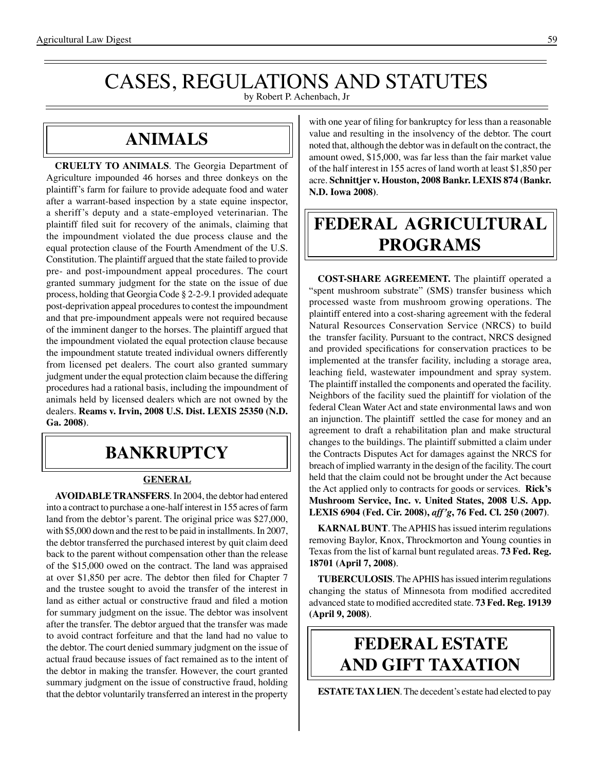# CASES, REGULATIONS AND STATUTES

by Robert P. Achenbach, Jr

## **Animals**

**CRUELTY TO ANIMALS**. The Georgia Department of Agriculture impounded 46 horses and three donkeys on the plaintiff's farm for failure to provide adequate food and water after a warrant-based inspection by a state equine inspector, a sheriff's deputy and a state-employed veterinarian. The plaintiff filed suit for recovery of the animals, claiming that the impoundment violated the due process clause and the equal protection clause of the Fourth Amendment of the U.S. Constitution. The plaintiff argued that the state failed to provide pre- and post-impoundment appeal procedures. The court granted summary judgment for the state on the issue of due process, holding that Georgia Code § 2-2-9.1 provided adequate post-deprivation appeal procedures to contest the impoundment and that pre-impoundment appeals were not required because of the imminent danger to the horses. The plaintiff argued that the impoundment violated the equal protection clause because the impoundment statute treated individual owners differently from licensed pet dealers. The court also granted summary judgment under the equal protection claim because the differing procedures had a rational basis, including the impoundment of animals held by licensed dealers which are not owned by the dealers. **Reams v. Irvin, 2008 U.S. Dist. LEXIS 25350 (N.D. Ga. 2008)**.

## **bankruptcy**

#### **GENERAL**

**AVOIDABLE TRANSFERS**. In 2004, the debtor had entered into a contract to purchase a one-half interest in 155 acres of farm land from the debtor's parent. The original price was \$27,000, with \$5,000 down and the rest to be paid in installments. In 2007, the debtor transferred the purchased interest by quit claim deed back to the parent without compensation other than the release of the \$15,000 owed on the contract. The land was appraised at over \$1,850 per acre. The debtor then filed for Chapter 7 and the trustee sought to avoid the transfer of the interest in land as either actual or constructive fraud and filed a motion for summary judgment on the issue. The debtor was insolvent after the transfer. The debtor argued that the transfer was made to avoid contract forfeiture and that the land had no value to the debtor. The court denied summary judgment on the issue of actual fraud because issues of fact remained as to the intent of the debtor in making the transfer. However, the court granted summary judgment on the issue of constructive fraud, holding that the debtor voluntarily transferred an interest in the property

with one year of filing for bankruptcy for less than a reasonable value and resulting in the insolvency of the debtor. The court noted that, although the debtor was in default on the contract, the amount owed, \$15,000, was far less than the fair market value of the half interest in 155 acres of land worth at least \$1,850 per acre. **Schnittjer v. Houston, 2008 Bankr. LEXIS 874 (Bankr. N.D. Iowa 2008)**.

# **federal agricultural programs**

**COST-SHARE AGREEMENT.** The plaintiff operated a "spent mushroom substrate" (SMS) transfer business which processed waste from mushroom growing operations. The plaintiff entered into a cost-sharing agreement with the federal Natural Resources Conservation Service (NRCS) to build the transfer facility. Pursuant to the contract, NRCS designed and provided specifications for conservation practices to be implemented at the transfer facility, including a storage area, leaching field, wastewater impoundment and spray system. The plaintiff installed the components and operated the facility. Neighbors of the facility sued the plaintiff for violation of the federal Clean Water Act and state environmental laws and won an injunction. The plaintiff settled the case for money and an agreement to draft a rehabilitation plan and make structural changes to the buildings. The plaintiff submitted a claim under the Contracts Disputes Act for damages against the NRCS for breach of implied warranty in the design of the facility. The court held that the claim could not be brought under the Act because the Act applied only to contracts for goods or services. **Rick's Mushroom Service, Inc. v. United States, 2008 U.S. App. LEXIS 6904 (Fed. Cir. 2008),** *aff'g***, 76 Fed. Cl. 250 (2007)**.

**KARNAL BUNT**. The APHIS has issued interim regulations removing Baylor, Knox, Throckmorton and Young counties in Texas from the list of karnal bunt regulated areas. **73 Fed. Reg. 18701 (April 7, 2008)**.

**TUBERCULOSIS**. The APHIS has issued interim regulations changing the status of Minnesota from modified accredited advanced state to modified accredited state. **73 Fed. Reg. 19139 (April 9, 2008)**.

# **federal ESTATE AND GIFT taxation**

**ESTATE TAX LIEN**. The decedent's estate had elected to pay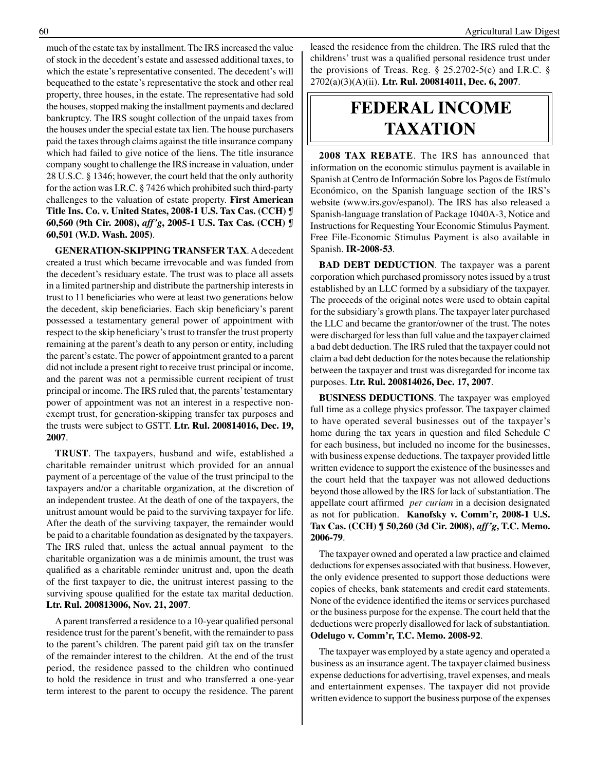much of the estate tax by installment. The IRS increased the value of stock in the decedent's estate and assessed additional taxes, to which the estate's representative consented. The decedent's will bequeathed to the estate's representative the stock and other real property, three houses, in the estate. The representative had sold the houses, stopped making the installment payments and declared bankruptcy. The IRS sought collection of the unpaid taxes from the houses under the special estate tax lien. The house purchasers paid the taxes through claims against the title insurance company which had failed to give notice of the liens. The title insurance company sought to challenge the IRS increase in valuation, under 28 U.S.C. § 1346; however, the court held that the only authority for the action was I.R.C. § 7426 which prohibited such third-party challenges to the valuation of estate property. **First American Title Ins. Co. v. United States, 2008-1 U.S. Tax Cas. (CCH) ¶ 60,560 (9th Cir. 2008),** *aff'g***, 2005-1 U.S. Tax Cas. (CCH) ¶ 60,501 (W.D. Wash. 2005)**.

**GENERATION-SKIPPING TRANSFER TAX**. A decedent created a trust which became irrevocable and was funded from the decedent's residuary estate. The trust was to place all assets in a limited partnership and distribute the partnership interests in trust to 11 beneficiaries who were at least two generations below the decedent, skip beneficiaries. Each skip beneficiary's parent possessed a testamentary general power of appointment with respect to the skip beneficiary's trust to transfer the trust property remaining at the parent's death to any person or entity, including the parent's estate. The power of appointment granted to a parent did not include a present right to receive trust principal or income, and the parent was not a permissible current recipient of trust principal or income. The IRS ruled that, the parents' testamentary power of appointment was not an interest in a respective nonexempt trust, for generation-skipping transfer tax purposes and the trusts were subject to GSTT. **Ltr. Rul. 200814016, Dec. 19, 2007**.

**TRUST**. The taxpayers, husband and wife, established a charitable remainder unitrust which provided for an annual payment of a percentage of the value of the trust principal to the taxpayers and/or a charitable organization, at the discretion of an independent trustee. At the death of one of the taxpayers, the unitrust amount would be paid to the surviving taxpayer for life. After the death of the surviving taxpayer, the remainder would be paid to a charitable foundation as designated by the taxpayers. The IRS ruled that, unless the actual annual payment to the charitable organization was a de minimis amount, the trust was qualified as a charitable reminder unitrust and, upon the death of the first taxpayer to die, the unitrust interest passing to the surviving spouse qualified for the estate tax marital deduction. **Ltr. Rul. 200813006, Nov. 21, 2007**.

 Aparent transferred a residence to a 10-year qualified personal residence trust for the parent's benefit, with the remainder to pass to the parent's children. The parent paid gift tax on the transfer of the remainder interest to the children. At the end of the trust period, the residence passed to the children who continued to hold the residence in trust and who transferred a one-year term interest to the parent to occupy the residence. The parent leased the residence from the children. The IRS ruled that the childrens' trust was a qualified personal residence trust under the provisions of Treas. Reg. § 25.2702-5(c) and I.R.C. § 2702(a)(3)(A)(ii). **Ltr. Rul. 200814011, Dec. 6, 2007**.

## **federal income taxation**

**2008 TAX REBATE**. The IRS has announced that information on the economic stimulus payment is available in Spanish at Centro de Información Sobre los Pagos de Estímulo Económico, on the Spanish language section of the IRS's website (www.irs.gov/espanol). The IRS has also released a Spanish-language translation of Package 1040A-3, Notice and Instructions for Requesting Your Economic Stimulus Payment. Free File-Economic Stimulus Payment is also available in Spanish. **IR-2008-53**.

**BAD DEBT DEDUCTION.** The taxpayer was a parent corporation which purchased promissory notes issued by a trust established by an LLC formed by a subsidiary of the taxpayer. The proceeds of the original notes were used to obtain capital for the subsidiary's growth plans. The taxpayer later purchased the LLC and became the grantor/owner of the trust. The notes were discharged for less than full value and the taxpayer claimed a bad debt deduction. The IRS ruled that the taxpayer could not claim a bad debt deduction for the notes because the relationship between the taxpayer and trust was disregarded for income tax purposes. **Ltr. Rul. 200814026, Dec. 17, 2007**.

**BUSINESS DEDUCTIONS**. The taxpayer was employed full time as a college physics professor. The taxpayer claimed to have operated several businesses out of the taxpayer's home during the tax years in question and filed Schedule C for each business, but included no income for the businesses, with business expense deductions. The taxpayer provided little written evidence to support the existence of the businesses and the court held that the taxpayer was not allowed deductions beyond those allowed by the IRS for lack of substantiation. The appellate court affirmed *per curiam* in a decision designated as not for publication. **Kanofsky v. Comm'r, 2008-1 U.S. Tax Cas. (CCH) ¶ 50,260 (3d Cir. 2008),** *aff'g***, T.C. Memo. 2006-79**.

The taxpayer owned and operated a law practice and claimed deductions for expenses associated with that business. However, the only evidence presented to support those deductions were copies of checks, bank statements and credit card statements. None of the evidence identified the items or services purchased or the business purpose for the expense. The court held that the deductions were properly disallowed for lack of substantiation. **Odelugo v. Comm'r, T.C. Memo. 2008-92**.

The taxpayer was employed by a state agency and operated a business as an insurance agent. The taxpayer claimed business expense deductions for advertising, travel expenses, and meals and entertainment expenses. The taxpayer did not provide written evidence to support the business purpose of the expenses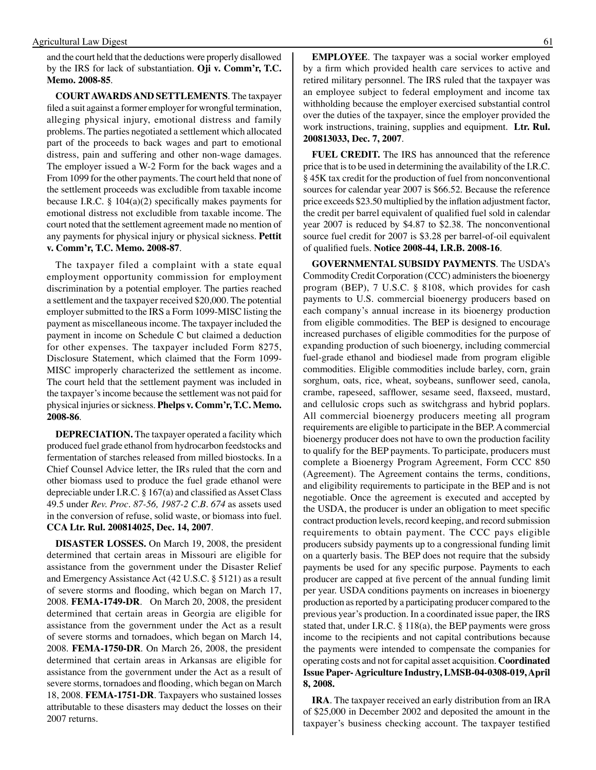and the court held that the deductions were properly disallowed by the IRS for lack of substantiation. **Oji v. Comm'r, T.C. Memo. 2008-85**.

**COURT AWARDS AND SETTLEMENTS**. The taxpayer filed a suit against a former employer for wrongful termination, alleging physical injury, emotional distress and family problems. The parties negotiated a settlement which allocated part of the proceeds to back wages and part to emotional distress, pain and suffering and other non-wage damages. The employer issued a W-2 Form for the back wages and a From 1099 for the other payments. The court held that none of the settlement proceeds was excludible from taxable income because I.R.C. § 104(a)(2) specifically makes payments for emotional distress not excludible from taxable income. The court noted that the settlement agreement made no mention of any payments for physical injury or physical sickness. **Pettit v. Comm'r, T.C. Memo. 2008-87**.

The taxpayer filed a complaint with a state equal employment opportunity commission for employment discrimination by a potential employer. The parties reached a settlement and the taxpayer received \$20,000. The potential employer submitted to the IRS a Form 1099-MISC listing the payment as miscellaneous income. The taxpayer included the payment in income on Schedule C but claimed a deduction for other expenses. The taxpayer included Form 8275, Disclosure Statement, which claimed that the Form 1099- MISC improperly characterized the settlement as income. The court held that the settlement payment was included in the taxpayer's income because the settlement was not paid for physical injuries or sickness. **Phelps v. Comm'r, T.C. Memo. 2008-86**.

**DEPRECIATION.** The taxpayer operated a facility which produced fuel grade ethanol from hydrocarbon feedstocks and fermentation of starches released from milled biostocks. In a Chief Counsel Advice letter, the IRs ruled that the corn and other biomass used to produce the fuel grade ethanol were depreciable under I.R.C.  $\S 167(a)$  and classified as Asset Class 49.5 under *Rev. Proc. 87-56, 1987-2 C.B. 674* as assets used in the conversion of refuse, solid waste, or biomass into fuel. **CCA Ltr. Rul. 200814025, Dec. 14, 2007**.

**DISASTER LOSSES.** On March 19, 2008, the president determined that certain areas in Missouri are eligible for assistance from the government under the Disaster Relief and Emergency Assistance Act (42 U.S.C. § 5121) as a result of severe storms and flooding, which began on March 17, 2008. **FEMA-1749-DR***.* On March 20, 2008, the president determined that certain areas in Georgia are eligible for assistance from the government under the Act as a result of severe storms and tornadoes, which began on March 14, 2008. **FEMA-1750-DR***.* On March 26, 2008, the president determined that certain areas in Arkansas are eligible for assistance from the government under the Act as a result of severe storms, tornadoes and flooding, which began on March 18, 2008. **FEMA-1751-DR***.* Taxpayers who sustained losses attributable to these disasters may deduct the losses on their 2007 returns*.*

**EMPLOYEE**. The taxpayer was a social worker employed by a firm which provided health care services to active and retired military personnel. The IRS ruled that the taxpayer was an employee subject to federal employment and income tax withholding because the employer exercised substantial control over the duties of the taxpayer, since the employer provided the work instructions, training, supplies and equipment. **Ltr. Rul. 200813033, Dec. 7, 2007**.

**FUEL CREDIT.** The IRS has announced that the reference price that is to be used in determining the availability of the I.R.C. § 45K tax credit for the production of fuel from nonconventional sources for calendar year 2007 is \$66.52. Because the reference price exceeds \$23.50 multiplied by the inflation adjustment factor, the credit per barrel equivalent of qualified fuel sold in calendar year 2007 is reduced by \$4.87 to \$2.38. The nonconventional source fuel credit for 2007 is \$3.28 per barrel-of-oil equivalent of qualified fuels. **Notice 2008-44, I.R.B. 2008-16**.

**GOVERNMENTAL SUBSIDY PAYMENTS**. The USDA's Commodity Credit Corporation (CCC) administers the bioenergy program (BEP), 7 U.S.C. § 8108, which provides for cash payments to U.S. commercial bioenergy producers based on each company's annual increase in its bioenergy production from eligible commodities. The BEP is designed to encourage increased purchases of eligible commodities for the purpose of expanding production of such bioenergy, including commercial fuel-grade ethanol and biodiesel made from program eligible commodities. Eligible commodities include barley, corn, grain sorghum, oats, rice, wheat, soybeans, sunflower seed, canola, crambe, rapeseed, safflower, sesame seed, flaxseed, mustard, and cellulosic crops such as switchgrass and hybrid poplars. All commercial bioenergy producers meeting all program requirements are eligible to participate in the BEP. A commercial bioenergy producer does not have to own the production facility to qualify for the BEP payments. To participate, producers must complete a Bioenergy Program Agreement, Form CCC 850 (Agreement). The Agreement contains the terms, conditions, and eligibility requirements to participate in the BEP and is not negotiable. Once the agreement is executed and accepted by the USDA, the producer is under an obligation to meet specific contract production levels, record keeping, and record submission requirements to obtain payment. The CCC pays eligible producers subsidy payments up to a congressional funding limit on a quarterly basis. The BEP does not require that the subsidy payments be used for any specific purpose. Payments to each producer are capped at five percent of the annual funding limit per year. USDA conditions payments on increases in bioenergy production as reported by a participating producer compared to the previous year's production. In a coordinated issue paper, the IRS stated that, under I.R.C. § 118(a), the BEP payments were gross income to the recipients and not capital contributions because the payments were intended to compensate the companies for operating costs and not for capital asset acquisition. **Coordinated Issue Paper- Agriculture Industry, LMSB-04-0308-019, April 8, 2008.**

**IRA**. The taxpayer received an early distribution from an IRA of \$25,000 in December 2002 and deposited the amount in the taxpayer's business checking account. The taxpayer testified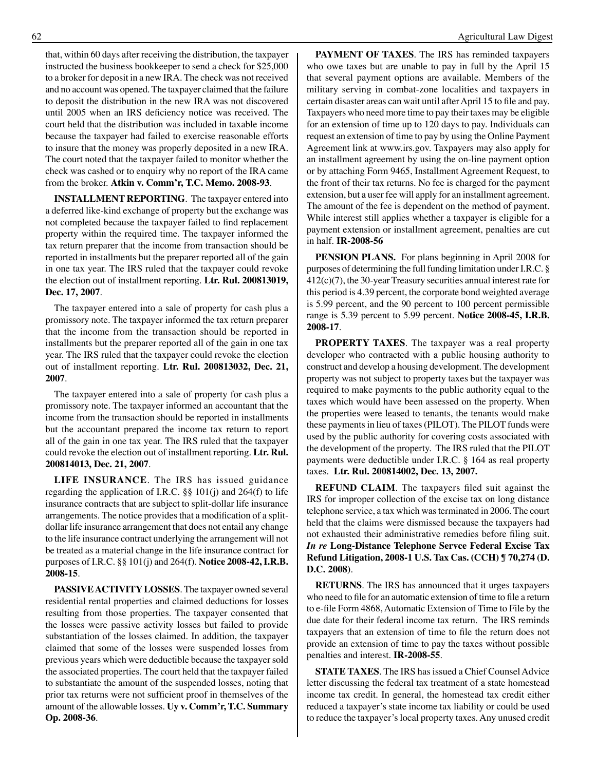that, within 60 days after receiving the distribution, the taxpayer instructed the business bookkeeper to send a check for \$25,000 to a broker for deposit in a new IRA. The check was not received and no account was opened. The taxpayer claimed that the failure to deposit the distribution in the new IRA was not discovered until 2005 when an IRS deficiency notice was received. The court held that the distribution was included in taxable income because the taxpayer had failed to exercise reasonable efforts to insure that the money was properly deposited in a new IRA. The court noted that the taxpayer failed to monitor whether the check was cashed or to enquiry why no report of the IRA came from the broker. **Atkin v. Comm'r, T.C. Memo. 2008-93**.

**INSTALLMENT REPORTING**. The taxpayer entered into a deferred like-kind exchange of property but the exchange was not completed because the taxpayer failed to find replacement property within the required time. The taxpayer informed the tax return preparer that the income from transaction should be reported in installments but the preparer reported all of the gain in one tax year. The IRS ruled that the taxpayer could revoke the election out of installment reporting. **Ltr. Rul. 200813019, Dec. 17, 2007**.

The taxpayer entered into a sale of property for cash plus a promissory note. The taxpayer informed the tax return preparer that the income from the transaction should be reported in installments but the preparer reported all of the gain in one tax year. The IRS ruled that the taxpayer could revoke the election out of installment reporting. **Ltr. Rul. 200813032, Dec. 21, 2007**.

The taxpayer entered into a sale of property for cash plus a promissory note. The taxpayer informed an accountant that the income from the transaction should be reported in installments but the accountant prepared the income tax return to report all of the gain in one tax year. The IRS ruled that the taxpayer could revoke the election out of installment reporting. **Ltr. Rul. 200814013, Dec. 21, 2007**.

**LIFE INSURANCE**. The IRS has issued guidance regarding the application of I.R.C.  $\S\S$  101(j) and 264(f) to life insurance contracts that are subject to split-dollar life insurance arrangements. The notice provides that a modification of a splitdollar life insurance arrangement that does not entail any change to the life insurance contract underlying the arrangement will not be treated as a material change in the life insurance contract for purposes of I.R.C. §§ 101(j) and 264(f). **Notice 2008-42, I.R.B. 2008-15**.

**PASSIVE ACTIVITY LOSSES**. The taxpayer owned several residential rental properties and claimed deductions for losses resulting from those properties. The taxpayer consented that the losses were passive activity losses but failed to provide substantiation of the losses claimed. In addition, the taxpayer claimed that some of the losses were suspended losses from previous years which were deductible because the taxpayer sold the associated properties. The court held that the taxpayer failed to substantiate the amount of the suspended losses, noting that prior tax returns were not sufficient proof in themselves of the amount of the allowable losses. **Uy v. Comm'r, T.C. Summary Op. 2008-36**.

**PAYMENT OF TAXES**. The IRS has reminded taxpayers who owe taxes but are unable to pay in full by the April 15 that several payment options are available. Members of the military serving in combat-zone localities and taxpayers in certain disaster areas can wait until afterApril 15 to file and pay. Taxpayers who need more time to pay their taxes may be eligible for an extension of time up to 120 days to pay. Individuals can request an extension of time to pay by using the Online Payment Agreement link at www.irs.gov. Taxpayers may also apply for an installment agreement by using the on-line payment option or by attaching Form 9465, Installment Agreement Request, to the front of their tax returns. No fee is charged for the payment extension, but a user fee will apply for an installment agreement. The amount of the fee is dependent on the method of payment. While interest still applies whether a taxpayer is eligible for a payment extension or installment agreement, penalties are cut in half. **IR-2008-56**

**PENSION PLANS.** For plans beginning in April 2008 for purposes of determining the full funding limitation under I.R.C. § 412(c)(7), the 30-year Treasury securities annual interest rate for this period is 4.39 percent, the corporate bond weighted average is 5.99 percent, and the 90 percent to 100 percent permissible range is 5.39 percent to 5.99 percent. **Notice 2008-45, I.R.B. 2008-17**.

**PROPERTY TAXES**. The taxpayer was a real property developer who contracted with a public housing authority to construct and develop a housing development. The development property was not subject to property taxes but the taxpayer was required to make payments to the public authority equal to the taxes which would have been assessed on the property. When the properties were leased to tenants, the tenants would make these payments in lieu of taxes (PILOT). The PILOT funds were used by the public authority for covering costs associated with the development of the property. The IRS ruled that the PILOT payments were deductible under I.R.C. § 164 as real property taxes. **Ltr. Rul. 200814002, Dec. 13, 2007.**

**REFUND CLAIM**. The taxpayers filed suit against the IRS for improper collection of the excise tax on long distance telephone service, a tax which was terminated in 2006. The court held that the claims were dismissed because the taxpayers had not exhausted their administrative remedies before filing suit. *In re* **Long-Distance Telephone Servce Federal Excise Tax Refund Litigation, 2008-1 U.S. Tax Cas. (CCH) ¶ 70,274 (D. D.C. 2008)**.

**RETURNS**. The IRS has announced that it urges taxpayers who need to file for an automatic extension of time to file a return to e-file Form 4868,Automatic Extension of Time to File by the due date for their federal income tax return. The IRS reminds taxpayers that an extension of time to file the return does not provide an extension of time to pay the taxes without possible penalties and interest. **IR-2008-55**.

**STATE TAXES**. The IRS has issued a Chief Counsel Advice letter discussing the federal tax treatment of a state homestead income tax credit. In general, the homestead tax credit either reduced a taxpayer's state income tax liability or could be used to reduce the taxpayer's local property taxes. Any unused credit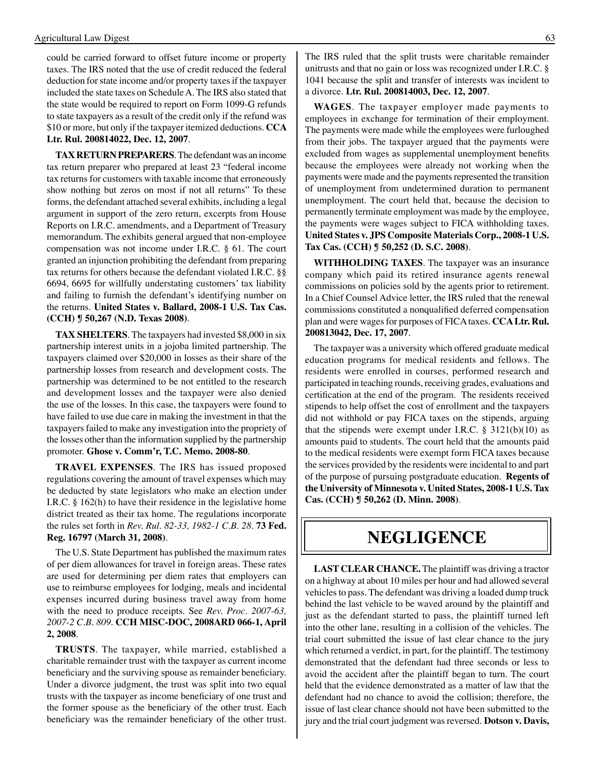could be carried forward to offset future income or property taxes. The IRS noted that the use of credit reduced the federal deduction for state income and/or property taxes if the taxpayer included the state taxes on Schedule A. The IRS also stated that the state would be required to report on Form 1099-G refunds to state taxpayers as a result of the credit only if the refund was \$10 or more, but only if the taxpayer itemized deductions. **CCA Ltr. Rul. 200814022, Dec. 12, 2007**.

**TAX RETURN PREPARERS**. The defendant was an income tax return preparer who prepared at least 23 "federal income tax returns for customers with taxable income that erroneously show nothing but zeros on most if not all returns" To these forms, the defendant attached several exhibits, including a legal argument in support of the zero return, excerpts from House Reports on I.R.C. amendments, and a Department of Treasury memorandum. The exhibits general argued that non-employee compensation was not income under I.R.C. § 61. The court granted an injunction prohibiting the defendant from preparing tax returns for others because the defendant violated I.R.C. §§ 6694, 6695 for willfully understating customers' tax liability and failing to furnish the defendant's identifying number on the returns. **United States v. Ballard, 2008-1 U.S. Tax Cas. (CCH) ¶ 50,267 (N.D. Texas 2008)**.

**TAX SHELTERS**. The taxpayers had invested \$8,000 in six partnership interest units in a jojoba limited partnership. The taxpayers claimed over \$20,000 in losses as their share of the partnership losses from research and development costs. The partnership was determined to be not entitled to the research and development losses and the taxpayer were also denied the use of the losses. In this case, the taxpayers were found to have failed to use due care in making the investment in that the taxpayers failed to make any investigation into the propriety of the losses other than the information supplied by the partnership promoter. **Ghose v. Comm'r, T.C. Memo. 2008-80**.

**TRAVEL EXPENSES**. The IRS has issued proposed regulations covering the amount of travel expenses which may be deducted by state legislators who make an election under I.R.C. § 162(h) to have their residence in the legislative home district treated as their tax home. The regulations incorporate the rules set forth in *Rev. Rul. 82-33, 1982-1 C.B. 28*. **73 Fed. Reg. 16797 (March 31, 2008)**.

The U.S. State Department has published the maximum rates of per diem allowances for travel in foreign areas. These rates are used for determining per diem rates that employers can use to reimburse employees for lodging, meals and incidental expenses incurred during business travel away from home with the need to produce receipts. See *Rev. Proc. 2007-63, 2007-2 C.B. 809*. **CCH MISC-DOC, 2008ARD 066-1, April 2, 2008**.

**TRUSTS**. The taxpayer, while married, established a charitable remainder trust with the taxpayer as current income beneficiary and the surviving spouse as remainder beneficiary. Under a divorce judgment, the trust was split into two equal trusts with the taxpayer as income beneficiary of one trust and the former spouse as the beneficiary of the other trust. Each beneficiary was the remainder beneficiary of the other trust.

The IRS ruled that the split trusts were charitable remainder unitrusts and that no gain or loss was recognized under I.R.C. § 1041 because the split and transfer of interests was incident to a divorce. **Ltr. Rul. 200814003, Dec. 12, 2007**.

**WAGES**. The taxpayer employer made payments to employees in exchange for termination of their employment. The payments were made while the employees were furloughed from their jobs. The taxpayer argued that the payments were excluded from wages as supplemental unemployment benefits because the employees were already not working when the payments were made and the payments represented the transition of unemployment from undetermined duration to permanent unemployment. The court held that, because the decision to permanently terminate employment was made by the employee, the payments were wages subject to FICA withholding taxes. **United States v. JPS Composite Materials Corp., 2008-1 U.S. Tax Cas. (CCH) ¶ 50,252 (D. S.C. 2008)**.

**WITHHOLDING TAXES**. The taxpayer was an insurance company which paid its retired insurance agents renewal commissions on policies sold by the agents prior to retirement. In a Chief Counsel Advice letter, the IRS ruled that the renewal commissions constituted a nonqualified deferred compensation plan and were wages for purposes of FICA taxes. **CCA Ltr. Rul. 200813042, Dec. 17, 2007**.

The taxpayer was a university which offered graduate medical education programs for medical residents and fellows. The residents were enrolled in courses, performed research and participated in teaching rounds, receiving grades, evaluations and certification at the end of the program. The residents received stipends to help offset the cost of enrollment and the taxpayers did not withhold or pay FICA taxes on the stipends, arguing that the stipends were exempt under I.R.C.  $\S$  3121(b)(10) as amounts paid to students. The court held that the amounts paid to the medical residents were exempt form FICA taxes because the services provided by the residents were incidental to and part of the purpose of pursuing postgraduate education. **Regents of the University of Minnesota v. United States, 2008-1 U.S. Tax Cas. (CCH) ¶ 50,262 (D. Minn. 2008)**.

### **negligence**

**LAST CLEAR CHANCE.** The plaintiff was driving a tractor on a highway at about 10 miles per hour and had allowed several vehicles to pass. The defendant was driving a loaded dump truck behind the last vehicle to be waved around by the plaintiff and just as the defendant started to pass, the plaintiff turned left into the other lane, resulting in a collision of the vehicles. The trial court submitted the issue of last clear chance to the jury which returned a verdict, in part, for the plaintiff. The testimony demonstrated that the defendant had three seconds or less to avoid the accident after the plaintiff began to turn. The court held that the evidence demonstrated as a matter of law that the defendant had no chance to avoid the collision; therefore, the issue of last clear chance should not have been submitted to the jury and the trial court judgment was reversed. **Dotson v. Davis,**